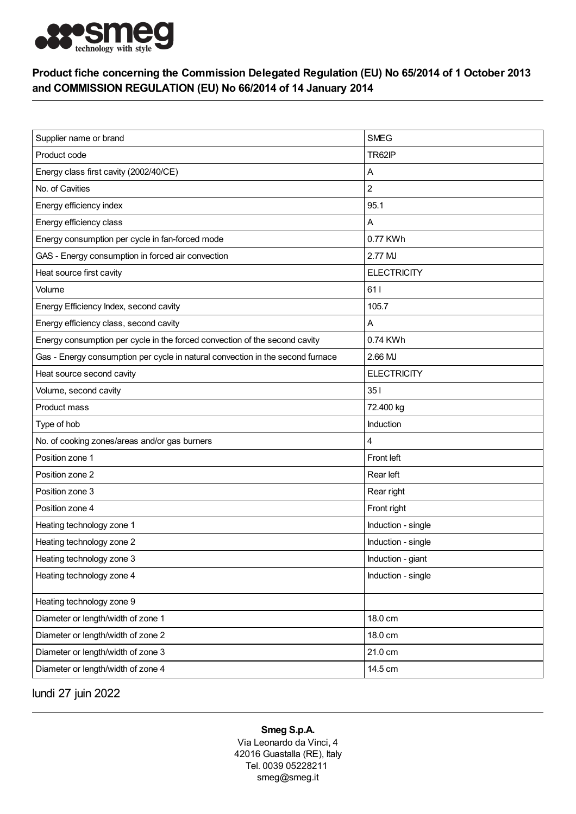

## Product fiche concerning the Commission Delegated Regulation (EU) No 65/2014 of 1 October 2013 and COMMISSION REGULATION (EU) No 66/2014 of 14 January 2014

| Supplier name or brand                                                         | <b>SMEG</b>        |
|--------------------------------------------------------------------------------|--------------------|
| Product code                                                                   | TR62IP             |
| Energy class first cavity (2002/40/CE)                                         | Α                  |
| No. of Cavities                                                                | $\overline{c}$     |
| Energy efficiency index                                                        | 95.1               |
| Energy efficiency class                                                        | Α                  |
| Energy consumption per cycle in fan-forced mode                                | 0.77 KWh           |
| GAS - Energy consumption in forced air convection                              | 2.77 MJ            |
| Heat source first cavity                                                       | <b>ELECTRICITY</b> |
| Volume                                                                         | 611                |
| Energy Efficiency Index, second cavity                                         | 105.7              |
| Energy efficiency class, second cavity                                         | Α                  |
| Energy consumption per cycle in the forced convection of the second cavity     | 0.74 KWh           |
| Gas - Energy consumption per cycle in natural convection in the second furnace | 2.66 MJ            |
| Heat source second cavity                                                      | <b>ELECTRICITY</b> |
| Volume, second cavity                                                          | 351                |
| Product mass                                                                   | 72.400 kg          |
| Type of hob                                                                    | Induction          |
| No. of cooking zones/areas and/or gas burners                                  | 4                  |
| Position zone 1                                                                | Front left         |
| Position zone 2                                                                | Rear left          |
| Position zone 3                                                                | Rear right         |
| Position zone 4                                                                | Front right        |
| Heating technology zone 1                                                      | Induction - single |
| Heating technology zone 2                                                      | Induction - single |
| Heating technology zone 3                                                      | Induction - giant  |
| Heating technology zone 4                                                      | Induction - single |
| Heating technology zone 9                                                      |                    |
| Diameter or length/width of zone 1                                             | 18.0 cm            |
| Diameter or length/width of zone 2                                             | 18.0 cm            |
| Diameter or length/width of zone 3                                             | 21.0 cm            |
| Diameter or length/width of zone 4                                             | 14.5 cm            |

lundi 27 juin 2022

## Smeg S.p.A.

Via Leonardo da Vinci, 4 42016 Guastalla (RE), Italy Tel. 0039 05228211 smeg@smeg.it